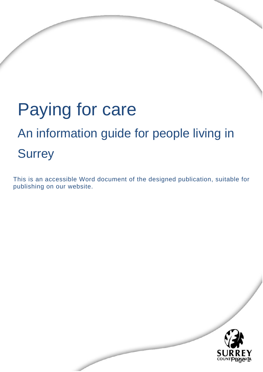# Paying for care An information guide for people living in **Surrey**

This is an accessible Word document of the designed publication, suitable for publishing on our website.

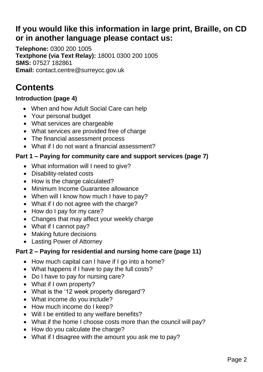# **If you would like this information in large print, Braille, on CD or in another language please contact us:**

**Telephone:** 0300 200 1005 **Textphone (via Text Relay):** 18001 0300 200 1005 **SMS:** 07527 182861 **Email:** [contact.centre@surreycc.gov.uk](mailto:contact.centre@surreycc.gov.uk)

# **Contents**

# **Introduction (page 4)**

- When and how Adult Social Care can help
- Your personal budget
- What services are chargeable
- What services are provided free of charge
- The financial assessment process
- What if I do not want a financial assessment?

# **Part 1 – Paying for community care and support services (page 7)**

- What information will I need to give?
- Disability-related costs
- How is the charge calculated?
- Minimum Income Guarantee allowance
- When will I know how much I have to pay?
- What if I do not agree with the charge?
- How do I pay for my care?
- Changes that may affect your weekly charge
- What if I cannot pay?
- Making future decisions
- Lasting Power of Attorney

# **Part 2 – Paying for residential and nursing home care (page 11)**

- How much capital can I have if I go into a home?
- What happens if I have to pay the full costs?
- Do I have to pay for nursing care?
- What if I own property?
- What is the '12 week property disregard'?
- What income do you include?
- How much income do I keep?
- Will I be entitled to any welfare benefits?
- What if the home I choose costs more than the council will pay?
- How do you calculate the charge?
- What if I disagree with the amount you ask me to pay?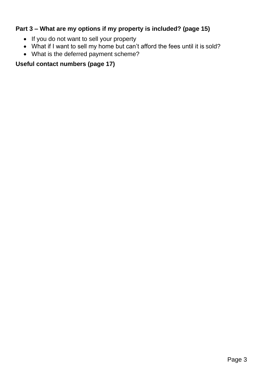# **Part 3 – What are my options if my property is included? (page 15)**

- If you do not want to sell your property
- What if I want to sell my home but can't afford the fees until it is sold?
- What is the deferred payment scheme?

# **Useful contact numbers (page 17)**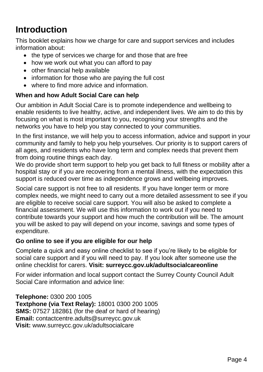# **Introduction**

This booklet explains how we charge for care and support services and includes information about:

- the type of services we charge for and those that are free
- how we work out what you can afford to pay
- other financial help available
- information for those who are paying the full cost
- where to find more advice and information.

# **When and how Adult Social Care can help**

Our ambition in Adult Social Care is to promote independence and wellbeing to enable residents to live healthy, active, and independent lives. We aim to do this by focusing on what is most important to you, recognising your strengths and the networks you have to help you stay connected to your communities.

In the first instance, we will help you to access information, advice and support in your community and family to help you help yourselves. Our priority is to support carers of all ages, and residents who have long term and complex needs that prevent them from doing routine things each day.

We do provide short term support to help you get back to full fitness or mobility after a hospital stay or if you are recovering from a mental illness, with the expectation this support is reduced over time as independence grows and wellbeing improves.

Social care support is not free to all residents. If you have longer term or more complex needs, we might need to carry out a more detailed assessment to see if you are eligible to receive social care support. You will also be asked to complete a financial assessment. We will use this information to work out if you need to contribute towards your support and how much the contribution will be. The amount you will be asked to pay will depend on your income, savings and some types of expenditure.

#### **Go online to see if you are eligible for our help**

Complete a quick and easy online checklist to see if you're likely to be eligible for social care support and if you will need to pay. If you look after someone use the online checklist for carers. **Visit: surreycc.gov.uk/adultsocialcareonline**

For wider information and local support contact the Surrey County Council Adult Social Care information and advice line:

**Telephone:** 0300 200 1005 **Textphone (via Text Relay):** 18001 0300 200 1005 **SMS:** 07527 182861 (for the deaf or hard of hearing) **Email:** [contactcentre.adults@surreycc.gov.uk](mailto:contactcentre.adults@surreycc.gov.uk) **Visit:** [www.surreycc.gov.uk/adultsocialcare](http://www.surreycc.gov.uk/adultsocialcare)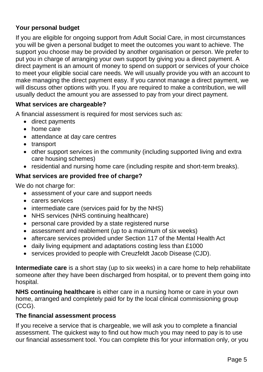# **Your personal budget**

If you are eligible for ongoing support from Adult Social Care, in most circumstances you will be given a personal budget to meet the outcomes you want to achieve. The support you choose may be provided by another organisation or person. We prefer to put you in charge of arranging your own support by giving you a direct payment. A direct payment is an amount of money to spend on support or services of your choice to meet your eligible social care needs. We will usually provide you with an account to make managing the direct payment easy. If you cannot manage a direct payment, we will discuss other options with you. If you are required to make a contribution, we will usually deduct the amount you are assessed to pay from your direct payment.

# **What services are chargeable?**

A financial assessment is required for most services such as:

- direct payments
- home care
- attendance at day care centres
- transport
- other support services in the community (including supported living and extra care housing schemes)
- residential and nursing home care (including respite and short-term breaks).

# **What services are provided free of charge?**

We do not charge for:

- assessment of your care and support needs
- carers services
- intermediate care (services paid for by the NHS)
- NHS services (NHS continuing healthcare)
- personal care provided by a state registered nurse
- assessment and reablement (up to a maximum of six weeks)
- aftercare services provided under Section 117 of the Mental Health Act
- daily living equipment and adaptations costing less than £1000
- services provided to people with Creuzfeldt Jacob Disease (CJD).

**Intermediate care** is a short stay (up to six weeks) in a care home to help rehabilitate someone after they have been discharged from hospital, or to prevent them going into hospital.

**NHS continuing healthcare** is either care in a nursing home or care in your own home, arranged and completely paid for by the local clinical commissioning group (CCG).

# **The financial assessment process**

If you receive a service that is chargeable, we will ask you to complete a financial assessment. The quickest way to find out how much you may need to pay is to use our financial assessment tool. You can complete this for your information only, or you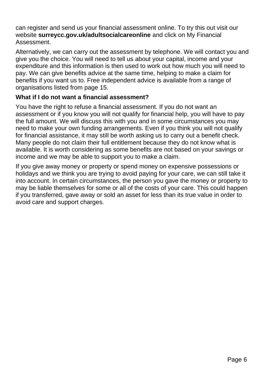can register and send us your financial assessment online. To try this out visit our website **surreycc.gov.uk/adultsocialcareonline** and click on My Financial Assessment.

Alternatively, we can carry out the assessment by telephone. We will contact you and give you the choice. You will need to tell us about your capital, income and your expenditure and this information is then used to work out how much you will need to pay. We can give benefits advice at the same time, helping to make a claim for benefits if you want us to. Free independent advice is available from a range of organisations listed from page 15.

# **What if I do not want a financial assessment?**

You have the right to refuse a financial assessment. If you do not want an assessment or if you know you will not qualify for financial help, you will have to pay the full amount. We will discuss this with you and in some circumstances you may need to make your own funding arrangements. Even if you think you will not qualify for financial assistance, it may still be worth asking us to carry out a benefit check. Many people do not claim their full entitlement because they do not know what is available. It is worth considering as some benefits are not based on your savings or income and we may be able to support you to make a claim.

If you give away money or property or spend money on expensive possessions or holidays and we think you are trying to avoid paying for your care, we can still take it into account. In certain circumstances, the person you gave the money or property to may be liable themselves for some or all of the costs of your care. This could happen if you transferred, gave away or sold an asset for less than its true value in order to avoid care and support charges.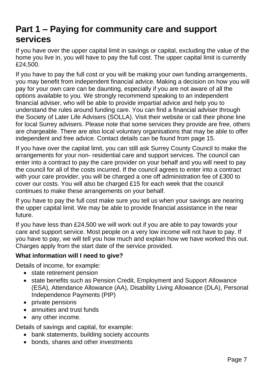# **Part 1 – Paying for community care and support services**

If you have over the upper capital limit in savings or capital, excluding the value of the home you live in, you will have to pay the full cost. The upper capital limit is currently £24,500.

If you have to pay the full cost or you will be making your own funding arrangements, you may benefit from independent financial advice. Making a decision on how you will pay for your own care can be daunting, especially if you are not aware of all the options available to you. We strongly recommend speaking to an independent financial adviser, who will be able to provide impartial advice and help you to understand the rules around funding care. You can find a financial adviser through the Society of Later Life Advisers (SOLLA). Visit their website or call their phone line for local Surrey advisers. Please note that some services they provide are free, others are chargeable. There are also local voluntary organisations that may be able to offer independent and free advice. Contact details can be found from page 15.

If you have over the capital limit, you can still ask Surrey County Council to make the arrangements for your non- residential care and support services. The council can enter into a contract to pay the care provider on your behalf and you will need to pay the council for all of the costs incurred. If the council agrees to enter into a contract with your care provider, you will be charged a one off administration fee of £300 to cover our costs. You will also be charged £15 for each week that the council continues to make these arrangements on your behalf.

If you have to pay the full cost make sure you tell us when your savings are nearing the upper capital limit. We may be able to provide financial assistance in the near future.

If you have less than £24,500 we will work out if you are able to pay towards your care and support service. Most people on a very low income will not have to pay. If you have to pay, we will tell you how much and explain how we have worked this out. Charges apply from the start date of the service provided.

# **What information will I need to give?**

Details of income, for example:

- state retirement pension
- state benefits such as Pension Credit, Employment and Support Allowance (ESA), Attendance Allowance (AA), Disability Living Allowance (DLA), Personal Independence Payments (PIP)
- private pensions
- annuities and trust funds
- any other income.

Details of savings and capital, for example:

- bank statements, building society accounts
- bonds, shares and other investments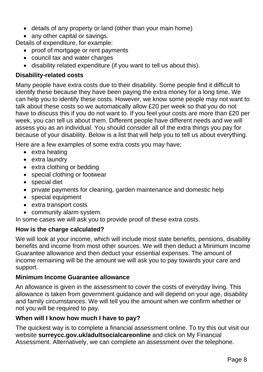- details of any property or land (other than your main home)
- any other capital or savings.

Details of expenditure, for example:

- proof of mortgage or rent payments
- council tax and water charges
- disability related expenditure (if you want to tell us about this).

# **Disability-related costs**

Many people have extra costs due to their disability. Some people find it difficult to identify these because they have been paying the extra money for a long time. We can help you to identify these costs. However, we know some people may not want to talk about these costs so we automatically allow £20 per week so that you do not have to discuss this if you do not want to. If you feel your costs are more than £20 per week, you can tell us about them. Different people have different needs and we will assess you as an individual. You should consider all of the extra things you pay for because of your disability. Below is a list that will help you to tell us about everything.

Here are a few examples of some extra costs you may have;

- extra heating
- extra laundry
- extra clothing or bedding
- special clothing or footwear
- special diet
- private payments for cleaning, garden maintenance and domestic help
- special equipment
- extra transport costs
- community alarm system.

In some cases we will ask you to provide proof of these extra costs.

# **How is the charge calculated?**

We will look at your income, which will include most state benefits, pensions, disability benefits and income from most other sources. We will then deduct a Minimum Income Guarantee allowance and then deduct your essential expenses. The amount of income remaining will be the amount we will ask you to pay towards your care and support.

# **Minimum Income Guarantee allowance**

An allowance is given in the assessment to cover the costs of everyday living. This allowance is taken from government guidance and will depend on your age, disability and family circumstances. We will tell you the amount when we confirm whether or not you will be required to pay.

#### **When will I know how much I have to pay?**

The quickest way is to complete a financial assessment online. To try this out visit our website **surreycc.gov.uk/adultsocialcareonline** and click on My Financial Assessment. Alternatively, we can complete an assessment over the telephone.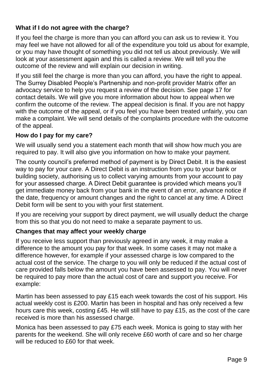# **What if I do not agree with the charge?**

If you feel the charge is more than you can afford you can ask us to review it. You may feel we have not allowed for all of the expenditure you told us about for example, or you may have thought of something you did not tell us about previously. We will look at your assessment again and this is called a review. We will tell you the outcome of the review and will explain our decision in writing.

If you still feel the charge is more than you can afford, you have the right to appeal. The Surrey Disabled People's Partnership and non-profit provider Matrix offer an advocacy service to help you request a review of the decision. See page 17 for contact details. We will give you more information about how to appeal when we confirm the outcome of the review. The appeal decision is final. If you are not happy with the outcome of the appeal, or if you feel you have been treated unfairly, you can make a complaint. We will send details of the complaints procedure with the outcome of the appeal.

# **How do I pay for my care?**

We will usually send you a statement each month that will show how much you are required to pay. It will also give you information on how to make your payment.

The county council's preferred method of payment is by Direct Debit. It is the easiest way to pay for your care. A Direct Debit is an instruction from you to your bank or building society, authorising us to collect varying amounts from your account to pay for your assessed charge. A Direct Debit guarantee is provided which means you'll get immediate money back from your bank in the event of an error, advance notice if the date, frequency or amount changes and the right to cancel at any time. A Direct Debit form will be sent to you with your first statement.

If you are receiving your support by direct payment, we will usually deduct the charge from this so that you do not need to make a separate payment to us.

#### **Changes that may affect your weekly charge**

If you receive less support than previously agreed in any week, it may make a difference to the amount you pay for that week. In some cases it may not make a difference however, for example if your assessed charge is low compared to the actual cost of the service. The charge to you will only be reduced if the actual cost of care provided falls below the amount you have been assessed to pay. You will never be required to pay more than the actual cost of care and support you receive. For example:

Martin has been assessed to pay £15 each week towards the cost of his support. His actual weekly cost is £200. Martin has been in hospital and has only received a few hours care this week, costing £45. He will still have to pay £15, as the cost of the care received is more than his assessed charge.

Monica has been assessed to pay £75 each week. Monica is going to stay with her parents for the weekend. She will only receive £60 worth of care and so her charge will be reduced to £60 for that week.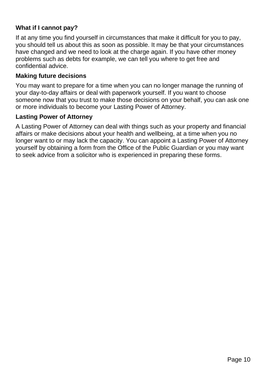# **What if I cannot pay?**

If at any time you find yourself in circumstances that make it difficult for you to pay, you should tell us about this as soon as possible. It may be that your circumstances have changed and we need to look at the charge again. If you have other money problems such as debts for example, we can tell you where to get free and confidential advice.

# **Making future decisions**

You may want to prepare for a time when you can no longer manage the running of your day-to-day affairs or deal with paperwork yourself. If you want to choose someone now that you trust to make those decisions on your behalf, you can ask one or more individuals to become your Lasting Power of Attorney.

#### **Lasting Power of Attorney**

A Lasting Power of Attorney can deal with things such as your property and financial affairs or make decisions about your health and wellbeing, at a time when you no longer want to or may lack the capacity. You can appoint a Lasting Power of Attorney yourself by obtaining a form from the Office of the Public Guardian or you may want to seek advice from a solicitor who is experienced in preparing these forms.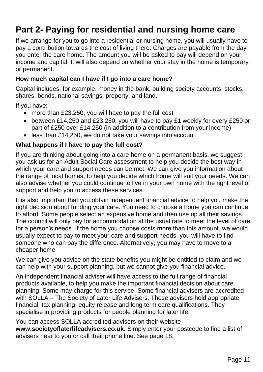# **Part 2- Paying for residential and nursing home care**

If we arrange for you to go into a residential or nursing home, you will usually have to pay a contribution towards the cost of living there. Charges are payable from the day you enter the care home. The amount you will be asked to pay will depend on your income and capital. It will also depend on whether your stay in the home is temporary or permanent.

# **How much capital can I have if I go into a care home?**

Capital includes, for example, money in the bank, building society accounts, stocks, shares, bonds, national savings, property, and land.

If you have:

- more than £23,250, you will have to pay the full cost
- between £14,250 and £23,250, you will have to pay £1 weekly for every £250 or part of £250 over £14,250 (in addition to a contribution from your income)
- less than £14,250, we do not take your savings into account.

# **What happens if I have to pay the full cost?**

If you are thinking about going into a care home on a permanent basis, we suggest you ask us for an Adult Social Care assessment to help you decide the best way in which your care and support needs can be met. We can give you information about the range of local homes, to help you decide which home will suit your needs. We can also advise whether you could continue to live in your own home with the right level of support and help you to access these services.

It is also important that you obtain independent financial advice to help you make the right decision about funding your care. You need to choose a home you can continue to afford. Some people select an expensive home and then use up all their savings. The council will only pay for accommodation at the usual rate to meet the level of care for a person's needs. If the home you choose costs more than this amount, we would usually expect to pay to meet your care and support needs, you will have to find someone who can pay the difference. Alternatively, you may have to move to a cheaper home.

We can give you advice on the state benefits you might be entitled to claim and we can help with your support planning, but we cannot give you financial advice.

An independent financial adviser will have access to the full range of financial products available, to help you make the important financial decision about care planning. Some may charge for this service. Some financial advisers are accredited with SOLLA – The Society of Later Life Advisers. These advisers hold appropriate financial, tax planning, equity release and long term care qualifications. They specialise in providing products for people planning for later life.

You can access SOLLA accredited advisers on their website **[www.societyoflaterlifeadvisers.co.uk](http://www.societyoflaterlifeadvisers.co.uk/)**. Simply enter your postcode to find a list of advisers near to you or call their phone line. See page 18.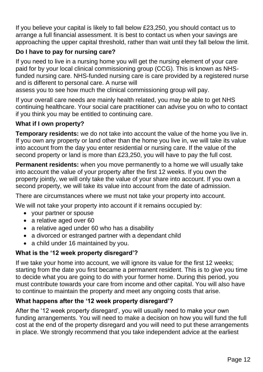If you believe your capital is likely to fall below £23,250, you should contact us to arrange a full financial assessment. It is best to contact us when your savings are approaching the upper capital threshold, rather than wait until they fall below the limit.

# **Do I have to pay for nursing care?**

If you need to live in a nursing home you will get the nursing element of your care paid for by your local clinical commissioning group (CCG). This is known as NHSfunded nursing care. NHS-funded nursing care is care provided by a registered nurse and is different to personal care. A nurse will

assess you to see how much the clinical commissioning group will pay.

If your overall care needs are mainly health related, you may be able to get NHS continuing healthcare. Your social care practitioner can advise you on who to contact if you think you may be entitled to continuing care.

# **What if I own property?**

**Temporary residents:** we do not take into account the value of the home you live in. If you own any property or land other than the home you live in, we will take its value into account from the day you enter residential or nursing care. If the value of the second property or land is more than £23,250, you will have to pay the full cost.

**Permanent residents:** when you move permanently to a home we will usually take into account the value of your property after the first 12 weeks. If you own the property jointly, we will only take the value of your share into account. If you own a second property, we will take its value into account from the date of admission.

There are circumstances where we must not take your property into account.

We will not take your property into account if it remains occupied by:

- your partner or spouse
- a relative aged over 60
- a relative aged under 60 who has a disability
- a divorced or estranged partner with a dependant child
- a child under 16 maintained by you.

# **What is the '12 week property disregard'?**

If we take your home into account, we will ignore its value for the first 12 weeks; starting from the date you first became a permanent resident. This is to give you time to decide what you are going to do with your former home. During this period, you must contribute towards your care from income and other capital. You will also have to continue to maintain the property and meet any ongoing costs that arise.

# **What happens after the '12 week property disregard'?**

After the '12 week property disregard', you will usually need to make your own funding arrangements. You will need to make a decision on how you will fund the full cost at the end of the property disregard and you will need to put these arrangements in place. We strongly recommend that you take independent advice at the earliest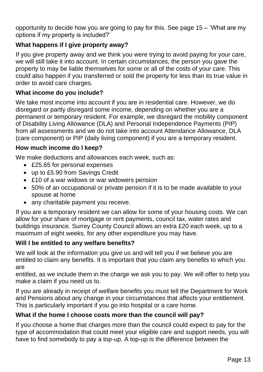opportunity to decide how you are going to pay for this. See page 15 – 'What are my options if my property is included?'

# **What happens if I give property away?**

If you give property away and we think you were trying to avoid paying for your care, we will still take it into account. In certain circumstances, the person you gave the property to may be liable themselves for some or all of the costs of your care. This could also happen if you transferred or sold the property for less than its true value in order to avoid care charges.

# **What income do you include?**

We take most income into account if you are in residential care. However, we do disregard or partly disregard some income, depending on whether you are a permanent or temporary resident. For example, we disregard the mobility component of Disability Living Allowance (DLA) and Personal Independence Payments (PIP) from all assessments and we do not take into account Attendance Allowance, DLA (care component) or PIP (daily living component) if you are a temporary resident.

# **How much income do I keep?**

We make deductions and allowances each week, such as:

- £25.65 for personal expenses
- up to £5.90 from Savings Credit
- £10 of a war widows or war widowers pension
- 50% of an occupational or private pension if it is to be made available to your spouse at home
- any charitable payment you receive.

If you are a temporary resident we can allow for some of your housing costs. We can allow for your share of mortgage or rent payments, council tax, water rates and buildings insurance. Surrey County Council allows an extra £20 each week, up to a maximum of eight weeks, for any other expenditure you may have.

#### **Will I be entitled to any welfare benefits?**

We will look at the information you give us and will tell you if we believe you are entitled to claim any benefits. It is important that you claim any benefits to which you are

entitled, as we include them in the charge we ask you to pay. We will offer to help you make a claim if you need us to.

If you are already in receipt of welfare benefits you must tell the Department for Work and Pensions about any change in your circumstances that affects your entitlement. This is particularly important if you go into hospital or a care home.

# **What if the home I choose costs more than the council will pay?**

If you choose a home that charges more than the council could expect to pay for the type of accommodation that could meet your eligible care and support needs, you will have to find somebody to pay a top-up. A top-up is the difference between the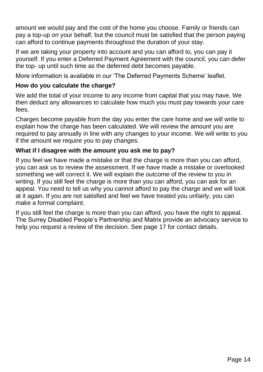amount we would pay and the cost of the home you choose. Family or friends can pay a top-up on your behalf, but the council must be satisfied that the person paying can afford to continue payments throughout the duration of your stay.

If we are taking your property into account and you can afford to, you can pay it yourself. If you enter a Deferred Payment Agreement with the council, you can defer the top- up until such time as the deferred debt becomes payable.

More information is available in our 'The Deferred Payments Scheme' leaflet.

# **How do you calculate the charge?**

We add the total of your income to any income from capital that you may have. We then deduct any allowances to calculate how much you must pay towards your care fees.

Charges become payable from the day you enter the care home and we will write to explain how the charge has been calculated. We will review the amount you are required to pay annually in line with any changes to your income. We will write to you if the amount we require you to pay changes.

# **What if I disagree with the amount you ask me to pay?**

If you feel we have made a mistake or that the charge is more than you can afford, you can ask us to review the assessment. If we have made a mistake or overlooked something we will correct it. We will explain the outcome of the review to you in writing. If you still feel the charge is more than you can afford, you can ask for an appeal. You need to tell us why you cannot afford to pay the charge and we will look at it again. If you are not satisfied and feel we have treated you unfairly, you can make a formal complaint.

If you still feel the charge is more than you can afford, you have the right to appeal. The Surrey Disabled People's Partnership and Matrix provide an advocacy service to help you request a review of the decision. See page 17 for contact details.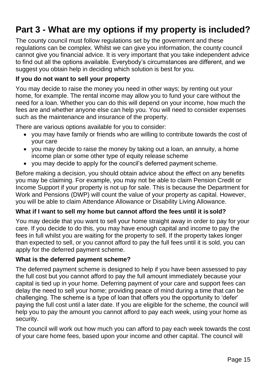# **Part 3 - What are my options if my property is included?**

The county council must follow regulations set by the government and these regulations can be complex. Whilst we can give you information, the county council cannot give you financial advice. It is very important that you take independent advice to find out all the options available. Everybody's circumstances are different, and we suggest you obtain help in deciding which solution is best for you.

# **If you do not want to sell your property**

You may decide to raise the money you need in other ways; by renting out your home, for example. The rental income may allow you to fund your care without the need for a loan. Whether you can do this will depend on your income, how much the fees are and whether anyone else can help you. You will need to consider expenses such as the maintenance and insurance of the property.

There are various options available for you to consider:

- you may have family or friends who are willing to contribute towards the cost of your care
- you may decide to raise the money by taking out a loan, an annuity, a home income plan or some other type of equity release scheme
- you may decide to apply for the council's deferred payment scheme.

Before making a decision, you should obtain advice about the effect on any benefits you may be claiming. For example, you may not be able to claim Pension Credit or Income Support if your property is not up for sale. This is because the Department for Work and Pensions (DWP) will count the value of your property as capital. However, you will be able to claim Attendance Allowance or Disability Living Allowance.

# **What if I want to sell my home but cannot afford the fees until it is sold?**

You may decide that you want to sell your home straight away in order to pay for your care. If you decide to do this, you may have enough capital and income to pay the fees in full whilst you are waiting for the property to sell. If the property takes longer than expected to sell, or you cannot afford to pay the full fees until it is sold, you can apply for the deferred payment scheme.

#### **What is the deferred payment scheme?**

The deferred payment scheme is designed to help if you have been assessed to pay the full cost but you cannot afford to pay the full amount immediately because your capital is tied up in your home. Deferring payment of your care and support fees can delay the need to sell your home; providing peace of mind during a time that can be challenging. The scheme is a type of loan that offers you the opportunity to 'defer' paying the full cost until a later date. If you are eligible for the scheme, the council will help you to pay the amount you cannot afford to pay each week, using your home as security.

The council will work out how much you can afford to pay each week towards the cost of your care home fees, based upon your income and other capital. The council will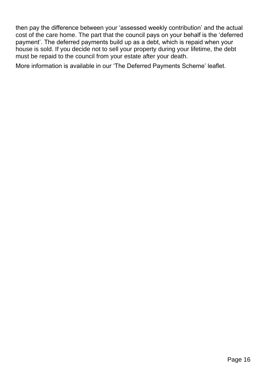then pay the difference between your 'assessed weekly contribution' and the actual cost of the care home. The part that the council pays on your behalf is the 'deferred payment'. The deferred payments build up as a debt, which is repaid when your house is sold. If you decide not to sell your property during your lifetime, the debt must be repaid to the council from your estate after your death.

More information is available in our 'The Deferred Payments Scheme' leaflet.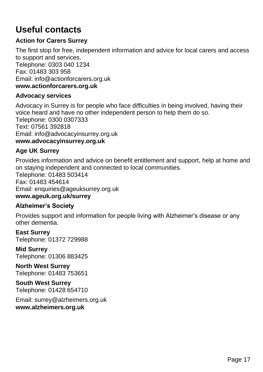# **Useful contacts**

# **Action for Carers Surrey**

The first stop for free, independent information and advice for local carers and access to support and services. Telephone: 0303 040 1234 Fax: 01483 303 958 Email: [info@actionforcarers.org.uk](mailto:info@actionforcarers.org.uk) **[www.actionforcarers.org.uk](http://www.actionforcarers.org.uk/)**

#### **Advocacy services**

Advocacy in Surrey is for people who face difficulties in being involved, having their voice heard and have no other independent person to help them do so. Telephone: 0300 0307333 Text: 07561 392818 Email: [info@advocacyinsurrey.org.uk](mailto:info@advocacyinsurrey.org.uk) **[www.advocacyinsurrey.org.uk](http://www.advocacyinsurrey.org.uk/)**

# **Age UK Surrey**

Provides information and advice on benefit entitlement and support, help at home and on staying independent and connected to local communities. Telephone: 01483 503414 Fax: 01483 454614 Email: [enquiries@ageuksurrey.org.uk](mailto:enquiries@ageuksurrey.org.uk) **[www.ageuk.org.uk/surrey](http://www.ageuk.org.uk/surrey)**

#### **Alzheimer's Society**

Provides support and information for people living with Alzheimer's disease or any other dementia.

**East Surrey** Telephone: 01372 729988

**Mid Surrey** Telephone: 01306 883425

**North West Surrey** Telephone: 01483 753651

**South West Surrey** Telephone: 01428 654710

Email: [surrey@alzheimers.org.uk](mailto:surrey@alzheimers.org.uk) **[www.alzheimers.org.uk](http://www.alzheimers.org.uk/)**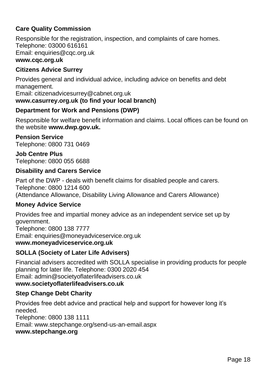# **Care Quality Commission**

Responsible for the registration, inspection, and complaints of care homes. Telephone: 03000 616161 Email: [enquiries@cqc.org.uk](mailto:enquiries@cqc.org.uk) **[www.cqc.org.uk](http://www.cqc.org.uk/)**

# **Citizens Advice Surrey**

Provides general and individual advice, including advice on benefits and debt management.

Email: [citizenadvicesurrey@cabnet.org.uk](mailto:citizenadvicesurrey@cabnet.org.uk)

# **[www.casurrey.org.uk \(](http://www.casurrey.org.uk/)to find your local branch)**

# **Department for Work and Pensions (DWP)**

Responsible for welfare benefit information and claims. Local offices can be found on the website **[www.dwp.gov.uk.](http://www.dwp.gov.uk/)**

#### **Pension Service** Telephone: 0800 731 0469

**Job Centre Plus** Telephone: 0800 055 6688

# **Disability and Carers Service**

Part of the DWP - deals with benefit claims for disabled people and carers. Telephone: 0800 1214 600 (Attendance Allowance, Disability Living Allowance and Carers Allowance)

# **Money Advice Service**

Provides free and impartial money advice as an independent service set up by government. Telephone: 0800 138 7777

Email: [enquiries@moneyadviceservice.org.uk](mailto:enquiries@moneyadviceservice.org.uk)

#### **[www.moneyadviceservice.org.uk](http://www.moneyadviceservice.org.uk/)**

# **SOLLA (Society of Later Life Advisers)**

Financial advisers accredited with SOLLA specialise in providing products for people planning for later life. Telephone: 0300 2020 454 Email: [admin@societyoflaterlifeadvisers.co.uk](mailto:admin@societyoflaterlifeadvisers.co.uk)

# **[www.societyoflaterlifeadvisers.co.uk](http://www.societyoflaterlifeadvisers.co.uk/)**

# **Step Change Debt Charity**

Provides free debt advice and practical help and support for however long it's needed.

Telephone: 0800 138 1111 Email: [www.stepchange.org/send-us-an-email.aspx](http://www.stepchange.org/send-us-an-email.aspx) **[www.stepchange.org](http://www.stepchange.org/)**

#### Page 18